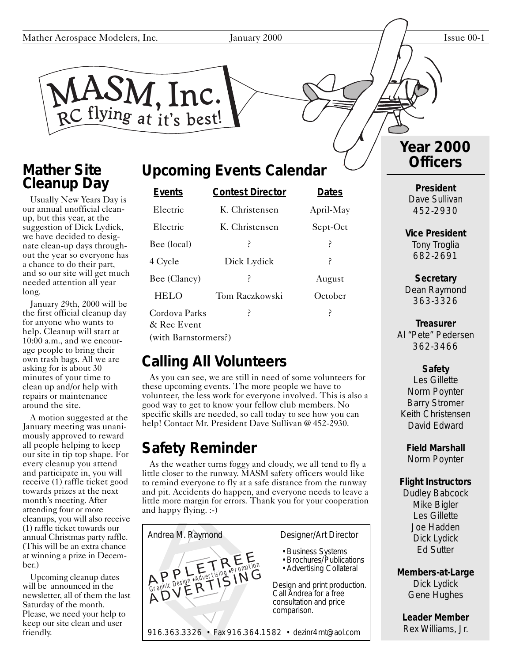M. Inc. RC flying at it's best!

#### **Mather Site Cleanup Day**

Usually New Years Day is our annual unofficial cleanup, but this year, at the suggestion of Dick Lydick, we have decided to designate clean-up days throughout the year so everyone has a chance to do their part, and so our site will get much needed attention all year long.

January 29th, 2000 will be the first official cleanup day for anyone who wants to help. Cleanup will start at 10:00 a.m., and we encourage people to bring their own trash bags. All we are asking for is about 30 minutes of your time to clean up and/or help with repairs or maintenance around the site.

A motion suggested at the January meeting was unanimously approved to reward all people helping to keep our site in tip top shape. For every cleanup you attend and participate in, you will receive (1) raffle ticket good towards prizes at the next month's meeting. After attending four or more cleanups, you will also receive (1) raffle ticket towards our annual Christmas party raffle. (This will be an extra chance at winning a prize in December.)

Upcoming cleanup dates will be announced in the newsletter, all of them the last Saturday of the month. Please, we need your help to keep our site clean and user friendly.

### **Upcoming Events Calendar**

| <b>Events</b>                | <b>Contest Director</b> | <b>Dates</b> |
|------------------------------|-------------------------|--------------|
| Electric                     | K. Christensen          | April-May    |
| Electric                     | K. Christensen          | Sept-Oct     |
| Bee (local)                  | ?                       | ?            |
| 4 Cycle                      | Dick Lydick             | ?            |
| Bee (Clancy)                 | ŗ                       | August       |
| <b>HELO</b>                  | Tom Raczkowski          | October      |
| Cordova Parks<br>& Rec Event | P                       | ?            |
| (with Barnstormers?)         |                         |              |

## **Calling All Volunteers**

As you can see, we are still in need of some volunteers for these upcoming events. The more people we have to volunteer, the less work for everyone involved. This is also a good way to get to know your fellow club members. No specific skills are needed, so call today to see how you can help! Contact Mr. President Dave Sullivan @ 452-2930.

## **Safety Reminder**

As the weather turns foggy and cloudy, we all tend to fly a little closer to the runway. MASM safety officers would like to remind everyone to fly at a safe distance from the runway and pit. Accidents do happen, and everyone needs to leave a little more margin for errors. Thank you for your cooperation and happy flying. :-)



#### **Year 2000 Officers**

**President** Dave Sullivan 452-2930

**Vice President** Tony Troglia 682-2691

**Secretary** Dean Raymond 363-3326

**Treasurer** Al "Pete" Pedersen 362-3466

#### **Safety**

Les Gillette Norm Poynter Barry Stromer Keith Christensen David Edward

**Field Marshall** Norm Poynter

#### **Flight Instructors**

Dudley Babcock Mike Bigler Les Gillette Joe Hadden Dick Lydick Ed Sutter

**Members-at-Large** Dick Lydick Gene Hughes

**Leader Member** Rex Williams, Jr.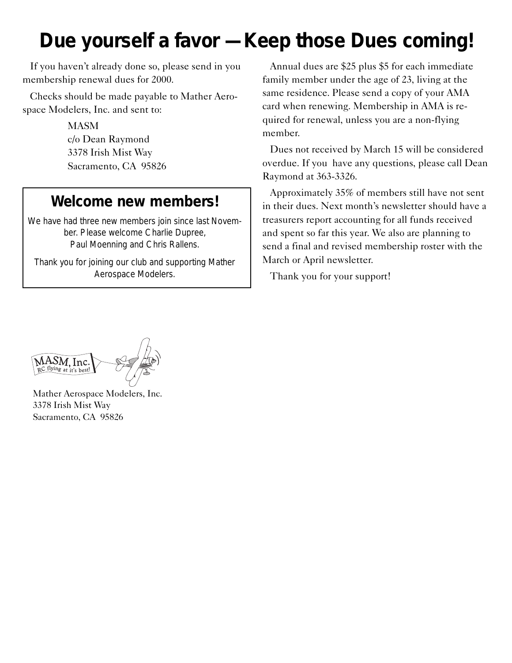# **Due yourself a favor — Keep those Dues coming!**

If you haven't already done so, please send in you membership renewal dues for 2000.

Checks should be made payable to Mather Aerospace Modelers, Inc. and sent to:

> MASM c/o Dean Raymond 3378 Irish Mist Way Sacramento, CA 95826

#### **Welcome new members!**

We have had three new members join since last November. Please welcome Charlie Dupree, Paul Moenning and Chris Rallens.

Thank you for joining our club and supporting Mather Aerospace Modelers.

Annual dues are \$25 plus \$5 for each immediate family member under the age of 23, living at the same residence. Please send a copy of your AMA card when renewing. Membership in AMA is required for renewal, unless you are a non-flying member.

Dues not received by March 15 will be considered overdue. If you have any questions, please call Dean Raymond at 363-3326.

Approximately 35% of members still have not sent in their dues. Next month's newsletter should have a treasurers report accounting for all funds received and spent so far this year. We also are planning to send a final and revised membership roster with the March or April newsletter.

Thank you for your support!

 $\widetilde{\text{MASM}}, \text{Inc.} \ \text{RC}\ \text{flying at it's best!}$ 

Mather Aerospace Modelers, Inc. 3378 Irish Mist Way Sacramento, CA 95826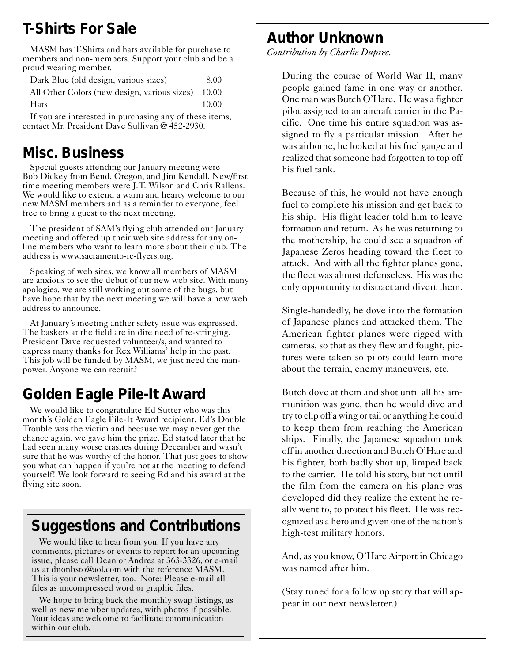### **T-Shirts For Sale**

MASM has T-Shirts and hats available for purchase to members and non-members. Support your club and be a proud wearing member.

Dark Blue (old design, various sizes) 8.00

All Other Colors (new design, various sizes) 10.00 Hats 10.00

If you are interested in purchasing any of these items, contact Mr. President Dave Sullivan @ 452-2930.

#### **Misc. Business**

Special guests attending our January meeting were Bob Dickey from Bend, Oregon, and Jim Kendall. New/first time meeting members were J.T. Wilson and Chris Rallens. We would like to extend a warm and hearty welcome to our new MASM members and as a reminder to everyone, feel free to bring a guest to the next meeting.

The president of SAM's flying club attended our January meeting and offered up their web site address for any online members who want to learn more about their club. The address is www.sacramento-rc-flyers.org.

Speaking of web sites, we know all members of MASM are anxious to see the debut of our new web site. With many apologies, we are still working out some of the bugs, but have hope that by the next meeting we will have a new web address to announce.

At January's meeting anther safety issue was expressed. The baskets at the field are in dire need of re-stringing. President Dave requested volunteer/s, and wanted to express many thanks for Rex Williams' help in the past. This job will be funded by MASM, we just need the manpower. Anyone we can recruit?

## **Golden Eagle Pile-It Award**

We would like to congratulate Ed Sutter who was this month's Golden Eagle Pile-It Award recipient. Ed's Double Trouble was the victim and because we may never get the chance again, we gave him the prize. Ed stated later that he had seen many worse crashes during December and wasn't sure that he was worthy of the honor. That just goes to show you what can happen if you're not at the meeting to defend yourself! We look forward to seeing Ed and his award at the flying site soon.

### **Suggestions and Contributions**

We would like to hear from you. If you have any comments, pictures or events to report for an upcoming issue, please call Dean or Andrea at 363-3326, or e-mail us at dnonbsto@aol.com with the reference MASM. This is your newsletter, too. Note: Please e-mail all files as uncompressed word or graphic files.

We hope to bring back the monthly swap listings, as well as new member updates, with photos if possible. Your ideas are welcome to facilitate communication within our club.

#### **Author Unknown**

*Contribution by Charlie Dupree.*

During the course of World War II, many people gained fame in one way or another. One man was Butch O'Hare. He was a fighter pilot assigned to an aircraft carrier in the Pacific. One time his entire squadron was assigned to fly a particular mission. After he was airborne, he looked at his fuel gauge and realized that someone had forgotten to top off his fuel tank.

Because of this, he would not have enough fuel to complete his mission and get back to his ship. His flight leader told him to leave formation and return. As he was returning to the mothership, he could see a squadron of Japanese Zeros heading toward the fleet to attack. And with all the fighter planes gone, the fleet was almost defenseless. His was the only opportunity to distract and divert them.

Single-handedly, he dove into the formation of Japanese planes and attacked them. The American fighter planes were rigged with cameras, so that as they flew and fought, pictures were taken so pilots could learn more about the terrain, enemy maneuvers, etc.

Butch dove at them and shot until all his ammunition was gone, then he would dive and try to clip off a wing or tail or anything he could to keep them from reaching the American ships. Finally, the Japanese squadron took off in another direction and Butch O'Hare and his fighter, both badly shot up, limped back to the carrier. He told his story, but not until the film from the camera on his plane was developed did they realize the extent he really went to, to protect his fleet. He was recognized as a hero and given one of the nation's high-test military honors.

And, as you know, O'Hare Airport in Chicago was named after him.

(Stay tuned for a follow up story that will appear in our next newsletter.)